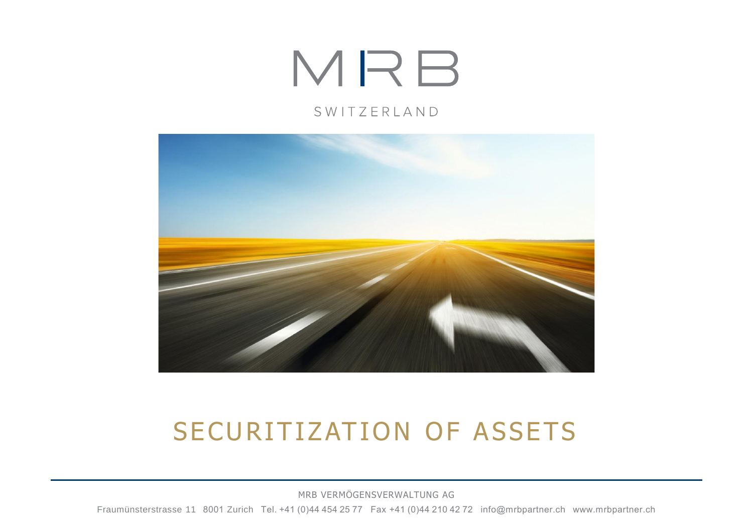# MRB

#### SWITZERLAND



### SECURITIZATION OF ASSETS

MRB VERMÖGENSVERWALTUNG AG Fraumünsterstrasse 11  8001 Zurich  Tel. +41 (0)44 454 25 77  Fax +41 (0)44 210 42 72  info@mrbpartner.ch  www.mrbpartner.ch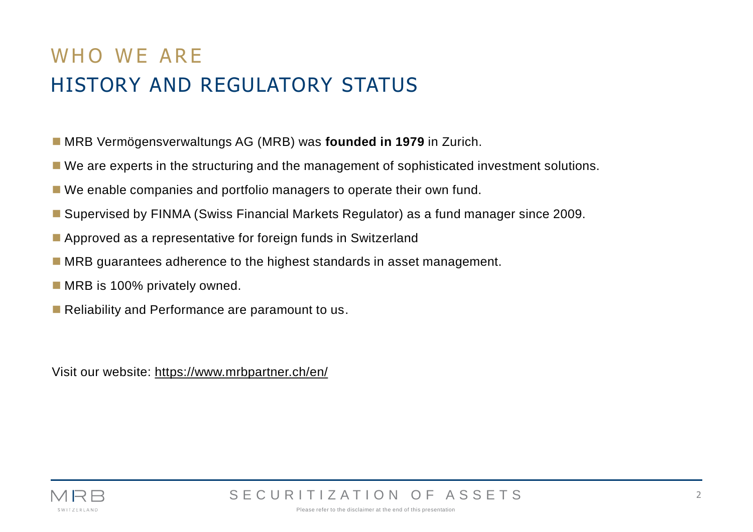### WHO WF ARE HISTORY AND REGULATORY STATUS

- MRB Vermögensverwaltungs AG (MRB) was **founded in 1979** in Zurich.
- We are experts in the structuring and the management of sophisticated investment solutions.
- We enable companies and portfolio managers to operate their own fund.
- Supervised by FINMA (Swiss Financial Markets Regulator) as a fund manager since 2009.
- Approved as a representative for foreign funds in Switzerland
- MRB guarantees adherence to the highest standards in asset management.
- MRB is 100% privately owned.
- Reliability and Performance are paramount to us.

Visit our website: <https://www.mrbpartner.ch/en/>

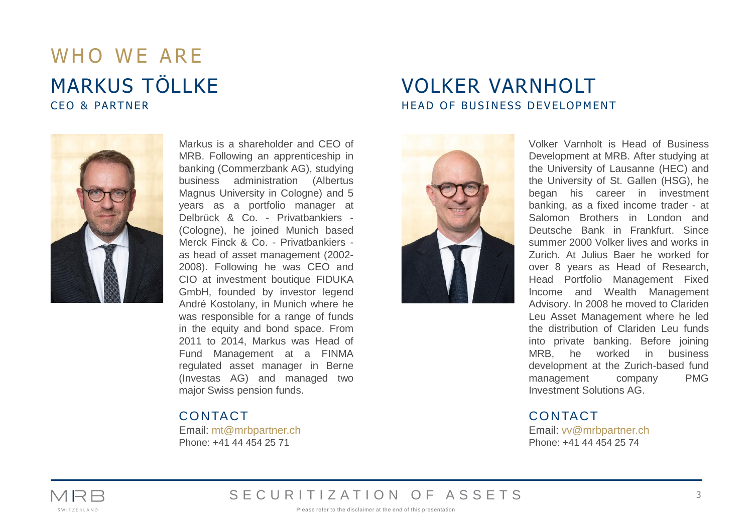### WHO WF ARE MARKUS TÖLLKE CEO & PARTNER



Markus is a shareholder and CEO of MRB. Following an apprenticeship in banking (Commerzbank AG), studying business administration (Albertus Magnus University in Cologne) and 5 years as a portfolio manager at Delbrück & Co. - Privatbankiers - (Cologne), he joined Munich based Merck Finck & Co. - Privatbankiers as head of asset management (2002- 2008). Following he was CEO and CIO at investment boutique FIDUKA GmbH, founded by investor legend André Kostolany, in Munich where he was responsible for a range of funds in the equity and bond space. From 2011 to 2014, Markus was Head of Fund Management at a FINMA regulated asset manager in Berne (Investas AG) and managed two major Swiss pension funds.

CONTACT

Email: mt@mrbpartner.ch Phone: +41 44 454 25 71

#### VOLKER VARNHOLT HEAD OF BUSINESS DEVELOPMENT



Volker Varnholt is Head of Business Development at MRB. After studying at the University of Lausanne (HEC) and the University of St. Gallen (HSG), he began his career in investment banking, as a fixed income trader - at Salomon Brothers in London and Deutsche Bank in Frankfurt. Since summer 2000 Volker lives and works in Zurich. At Julius Baer he worked for over 8 years as Head of Research, Head Portfolio Management Fixed Income and Wealth Management Advisory. In 2008 he moved to Clariden Leu Asset Management where he led the distribution of Clariden Leu funds into private banking. Before joining MRB, he worked in business development at the Zurich-based fund management company PMG Investment Solutions AG.

#### CONTACT

Email: vv@mrbpartner.ch Phone: +41 44 454 25 74



SECURITIZATION OF ASSETS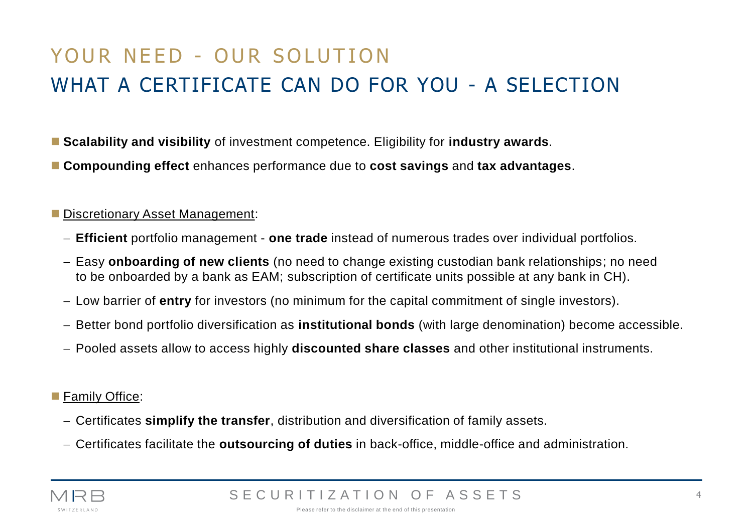### YOUR NEED - OUR SOLUTION WHAT A CERTIFICATE CAN DO FOR YOU - A SELECTION

- **Scalability and visibility** of investment competence. Eligibility for **industry awards**.
- **Compounding effect** enhances performance due to **cost savings** and **tax advantages**.

#### ■ Discretionary Asset Management:

- − **Efficient** portfolio management **one trade** instead of numerous trades over individual portfolios.
- − Easy **onboarding of new clients** (no need to change existing custodian bank relationships; no need to be onboarded by a bank as EAM; subscription of certificate units possible at any bank in CH).
- − Low barrier of **entry** for investors (no minimum for the capital commitment of single investors).
- − Better bond portfolio diversification as **institutional bonds** (with large denomination) become accessible.
- − Pooled assets allow to access highly **discounted share classes** and other institutional instruments.

#### ■ Family Office:

- − Certificates **simplify the transfer**, distribution and diversification of family assets.
- − Certificates facilitate the **outsourcing of duties** in back-office, middle-office and administration.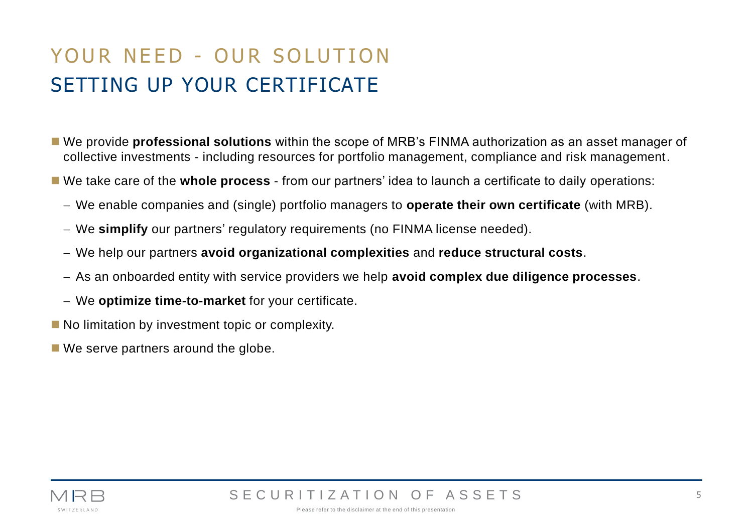### YOUR NEED - OUR SOLUTION SETTING UP YOUR CERTIFICATE

- We provide **professional solutions** within the scope of MRB's FINMA authorization as an asset manager of collective investments - including resources for portfolio management, compliance and risk management.
- We take care of the **whole process** from our partners' idea to launch a certificate to daily operations:
	- − We enable companies and (single) portfolio managers to **operate their own certificate** (with MRB).
	- − We **simplify** our partners' regulatory requirements (no FINMA license needed).
	- − We help our partners **avoid organizational complexities** and **reduce structural costs**.
	- − As an onboarded entity with service providers we help **avoid complex due diligence processes**.
	- − We **optimize time-to-market** for your certificate.
- No limitation by investment topic or complexity.
- We serve partners around the globe.

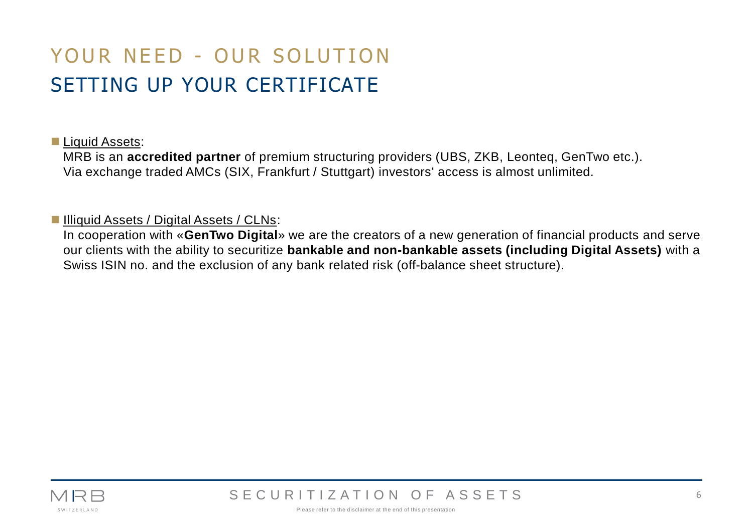### YOUR NEED - OUR SOLUTION SETTING UP YOUR CERTIFICATE

#### ■ Liquid Assets:

MRB is an **accredited partner** of premium structuring providers (UBS, ZKB, Leonteq, GenTwo etc.). Via exchange traded AMCs (SIX, Frankfurt / Stuttgart) investors' access is almost unlimited.

#### ■ Illiquid Assets / Digital Assets / CLNs:

In cooperation with «**GenTwo Digital**» we are the creators of a new generation of financial products and serve our clients with the ability to securitize **bankable and non-bankable assets (including Digital Assets)** with a Swiss ISIN no. and the exclusion of any bank related risk (off-balance sheet structure).

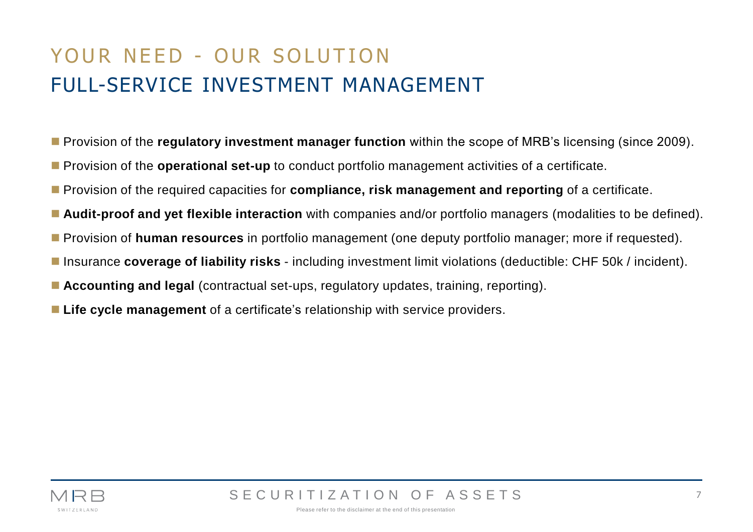### YOUR NEED - OUR SOLUTION FULL-SERVICE INVESTMENT MANAGEMENT

- Provision of the **regulatory investment manager function** within the scope of MRB's licensing (since 2009).
- Provision of the **operational set-up** to conduct portfolio management activities of a certificate.
- Provision of the required capacities for **compliance, risk management and reporting** of a certificate.
- **Audit-proof and yet flexible interaction** with companies and/or portfolio managers (modalities to be defined).
- Provision of **human resources** in portfolio management (one deputy portfolio manager; more if requested).
- Insurance **coverage of liability risks** including investment limit violations (deductible: CHF 50k / incident).
- **Accounting and legal** (contractual set-ups, regulatory updates, training, reporting).
- Life cycle management of a certificate's relationship with service providers.

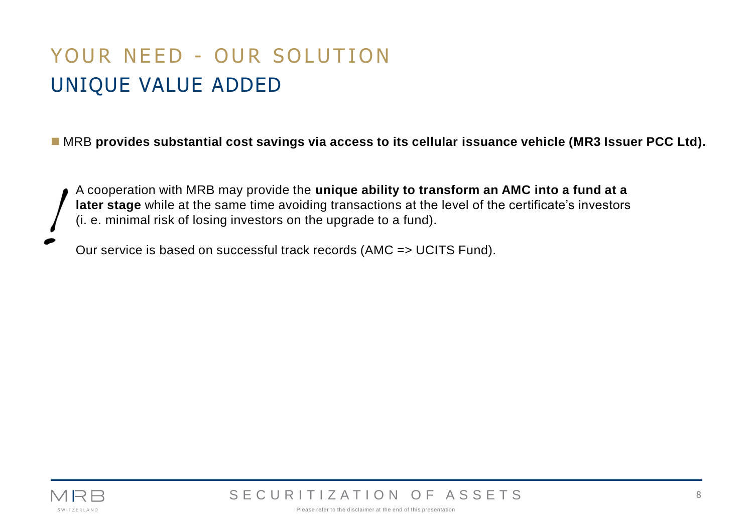### YOUR NEED - OUR SOLUTION UNIQUE VALUE ADDED

■ MRB provides substantial cost savings via access to its cellular issuance vehicle (MR3 Issuer PCC Ltd).

A cooperation with MRB may provide the **unique ability to transform an AMC into a fund at a later stage** while at the same time avoiding transactions at the level of the certificate's investors (i. e. minimal risk of losing investors on the upgrade to a fund).

Our service is based on successful track records (AMC => UCITS Fund).



SECURITIZATION OF ASSETS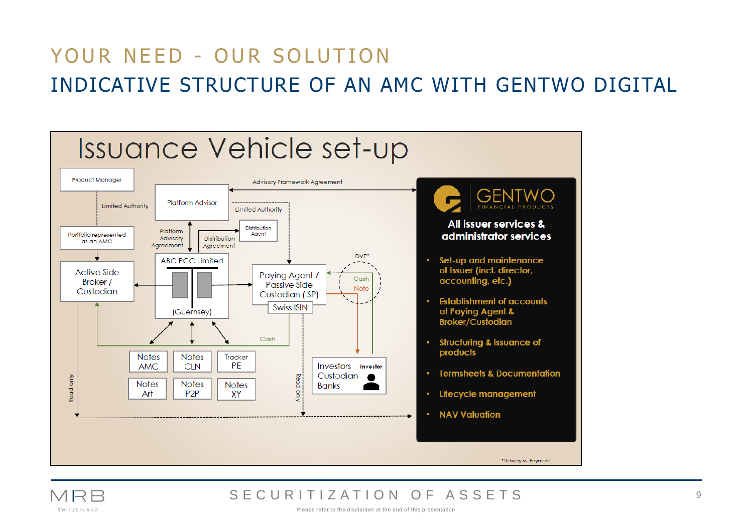### YOUR NEED - OUR SOLUTION INDICATIVE STRUCTURE OF AN AMC WITH GENTWO DIGITAL



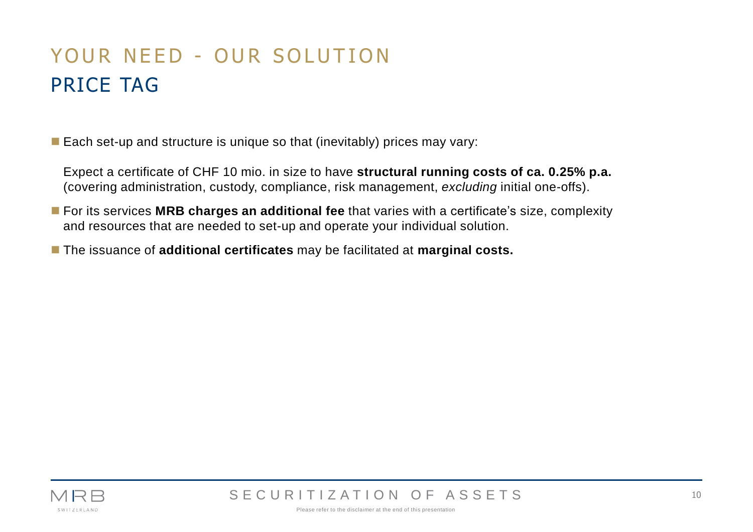### YOUR NEED - OUR SOLUTION PRICE TAG

 $\blacksquare$  Each set-up and structure is unique so that (inevitably) prices may vary:

Expect a certificate of CHF 10 mio. in size to have **structural running costs of ca. 0.25% p.a.** (covering administration, custody, compliance, risk management, *excluding* initial one-offs).

- For its services MRB charges an additional fee that varies with a certificate's size, complexity and resources that are needed to set-up and operate your individual solution.
- The issuance of **additional certificates** may be facilitated at **marginal costs.**



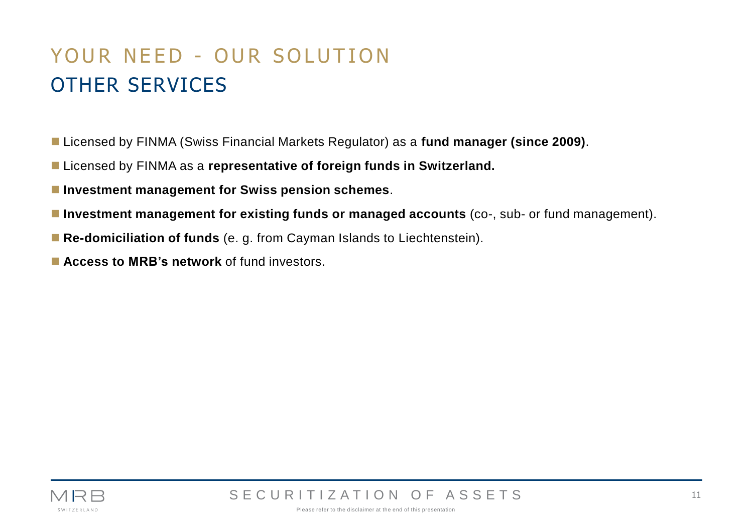### YOUR NEED - OUR SOLUTION OTHER SERVICES

- Licensed by FINMA (Swiss Financial Markets Regulator) as a fund manager (since 2009).
- Licensed by FINMA as a **representative of foreign funds in Switzerland.**
- Investment management for Swiss pension schemes.
- Investment management for existing funds or managed accounts (co-, sub- or fund management).
- **Re-domiciliation of funds** (e. g. from Cayman Islands to Liechtenstein).
- **Access to MRB's network** of fund investors.

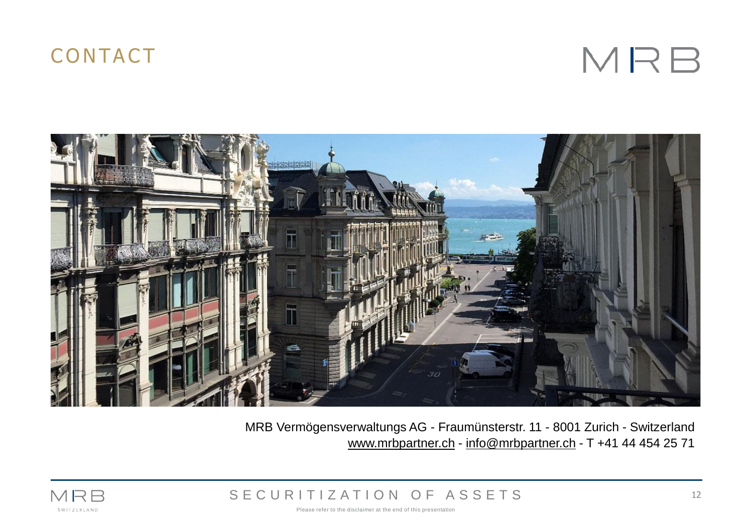### **CONTACT**

MRB



MRB Vermögensverwaltungs AG - Fraumünsterstr. 11 - 8001 Zurich - Switzerland www.mrbpartner.ch - info[@mrbpartner.ch](mailto:mt@mrbpartner.ch) - T +41 44 454 25 71



S E C U R I T I Z A T I O N O F A S S E T S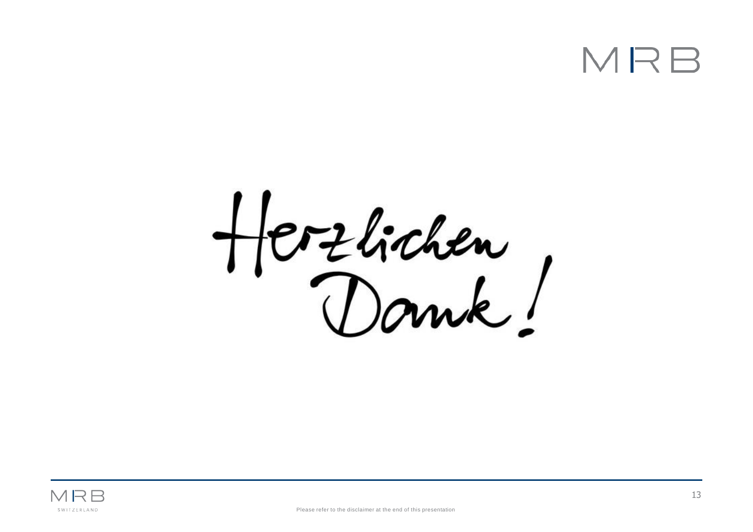# MR

Herzlichen,